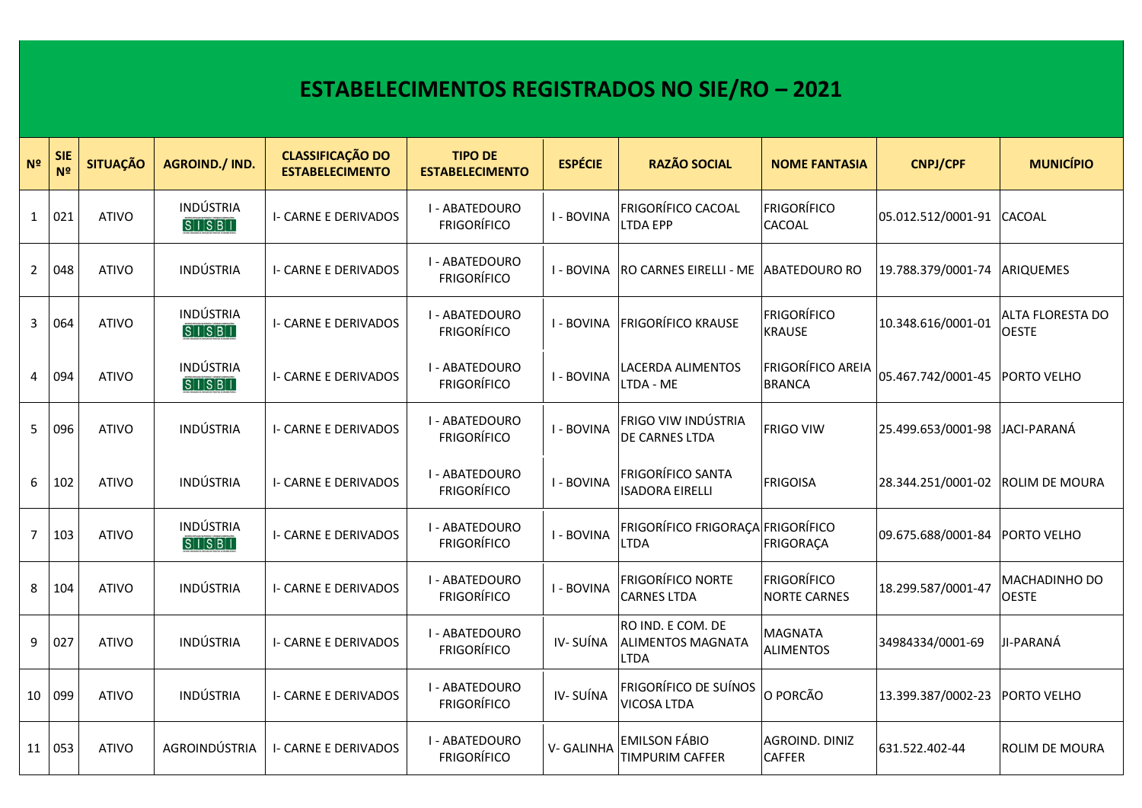## **ESTABELECIMENTOS REGISTRADOS NO SIE/RO – 2021**

| N <sup>2</sup> | <b>SIE</b><br>N <sup>2</sup> | <b>SITUAÇÃO</b> | <b>AGROIND./ IND.</b>   | <b>CLASSIFICAÇÃO DO</b><br><b>ESTABELECIMENTO</b> | <b>TIPO DE</b><br><b>ESTABELECIMENTO</b> | <b>ESPÉCIE</b> | <b>RAZÃO SOCIAL</b>                                          | <b>NOME FANTASIA</b>                      | <b>CNPJ/CPF</b>    | <b>MUNICÍPIO</b>                        |
|----------------|------------------------------|-----------------|-------------------------|---------------------------------------------------|------------------------------------------|----------------|--------------------------------------------------------------|-------------------------------------------|--------------------|-----------------------------------------|
| $\mathbf{1}$   | 021                          | <b>ATIVO</b>    | INDÚSTRIA<br>S  S B     | <b>I- CARNE E DERIVADOS</b>                       | I - ABATEDOURO<br><b>FRIGORÍFICO</b>     | I - BOVINA     | <b>FRIGORÍFICO CACOAL</b><br><b>LTDA EPP</b>                 | <b>FRIGORÍFICO</b><br><b>CACOAL</b>       | 05.012.512/0001-91 | <b>CACOAL</b>                           |
| $\overline{2}$ | 048                          | <b>ATIVO</b>    | <b>INDÚSTRIA</b>        | <b>I- CARNE E DERIVADOS</b>                       | I - ABATEDOURO<br><b>FRIGORÍFICO</b>     | I - BOVINA     | RO CARNES EIRELLI - ME ABATEDOURO RO                         |                                           | 19.788.379/0001-74 | <b>ARIQUEMES</b>                        |
| 3              | 064                          | <b>ATIVO</b>    | INDÚSTRIA<br>S  S B     | <b>I- CARNE E DERIVADOS</b>                       | I - ABATEDOURO<br><b>FRIGORÍFICO</b>     | I - BOVINA     | <b>FRIGORÍFICO KRAUSE</b>                                    | <b>FRIGORÍFICO</b><br><b>KRAUSE</b>       | 10.348.616/0001-01 | <b>ALTA FLORESTA DO</b><br><b>OESTE</b> |
| 4              | 094                          | <b>ATIVO</b>    | INDÚSTRIA<br>S  S B     | <b>I- CARNE E DERIVADOS</b>                       | I - ABATEDOURO<br><b>FRIGORÍFICO</b>     | I - BOVINA     | LACERDA ALIMENTOS<br>LTDA - ME                               | FRIGORÍFICO AREIA<br><b>BRANCA</b>        | 05.467.742/0001-45 | PORTO VELHO                             |
| 5              | 096                          | <b>ATIVO</b>    | <b>INDÚSTRIA</b>        | <b>I- CARNE E DERIVADOS</b>                       | I - ABATEDOURO<br><b>FRIGORÍFICO</b>     | I - BOVINA     | FRIGO VIW INDÚSTRIA<br><b>DE CARNES LTDA</b>                 | <b>FRIGO VIW</b>                          | 25.499.653/0001-98 | JACI-PARANÁ                             |
| 6              | 102                          | <b>ATIVO</b>    | <b>INDÚSTRIA</b>        | <b>I- CARNE E DERIVADOS</b>                       | I - ABATEDOURO<br><b>FRIGORÍFICO</b>     | I - BOVINA     | <b>FRIGORÍFICO SANTA</b><br><b>ISADORA EIRELLI</b>           | <b>FRIGOISA</b>                           | 28.344.251/0001-02 | IROLIM DE MOURA                         |
| $\overline{7}$ | 103                          | <b>ATIVO</b>    | INDÚSTRIA<br>S[1]S[B]1] | <b>I- CARNE E DERIVADOS</b>                       | I - ABATEDOURO<br><b>FRIGORÍFICO</b>     | I - BOVINA     | FRIGORÍFICO FRIGORAÇA FRIGORÍFICO<br><b>LTDA</b>             | FRIGORAÇA                                 | 09.675.688/0001-84 | <b>PORTO VELHO</b>                      |
| 8              | 104                          | <b>ATIVO</b>    | <b>INDÚSTRIA</b>        | <b>I- CARNE E DERIVADOS</b>                       | I - ABATEDOURO<br><b>FRIGORÍFICO</b>     | I - BOVINA     | <b>FRIGORÍFICO NORTE</b><br><b>CARNES LTDA</b>               | <b>FRIGORÍFICO</b><br><b>NORTE CARNES</b> | 18.299.587/0001-47 | <b>MACHADINHO DO</b><br><b>OESTE</b>    |
| 9              | 027                          | <b>ATIVO</b>    | INDÚSTRIA               | <b>I- CARNE E DERIVADOS</b>                       | I - ABATEDOURO<br><b>FRIGORÍFICO</b>     | IV-SUÍNA       | RO IND. E COM. DE<br><b>ALIMENTOS MAGNATA</b><br><b>LTDA</b> | <b>MAGNATA</b><br><b>ALIMENTOS</b>        | 34984334/0001-69   | JI-PARANÁ                               |
| 10             | 099                          | <b>ATIVO</b>    | INDÚSTRIA               | <b>I- CARNE E DERIVADOS</b>                       | I - ABATEDOURO<br><b>FRIGORÍFICO</b>     | IV-SUÍNA       | <b>FRIGORÍFICO DE SUÍNOS</b><br><b>VICOSA LTDA</b>           | O PORCÃO                                  | 13.399.387/0002-23 | <b>PORTO VELHO</b>                      |
| 11             | 053                          | <b>ATIVO</b>    | AGROINDÚSTRIA           | I- CARNE E DERIVADOS                              | I - ABATEDOURO<br><b>FRIGORÍFICO</b>     | V-GALINHA      | <b>EMILSON FÁBIO</b><br>TIMPURIM CAFFER                      | AGROIND. DINIZ<br><b>CAFFER</b>           | 631.522.402-44     | <b>ROLIM DE MOURA</b>                   |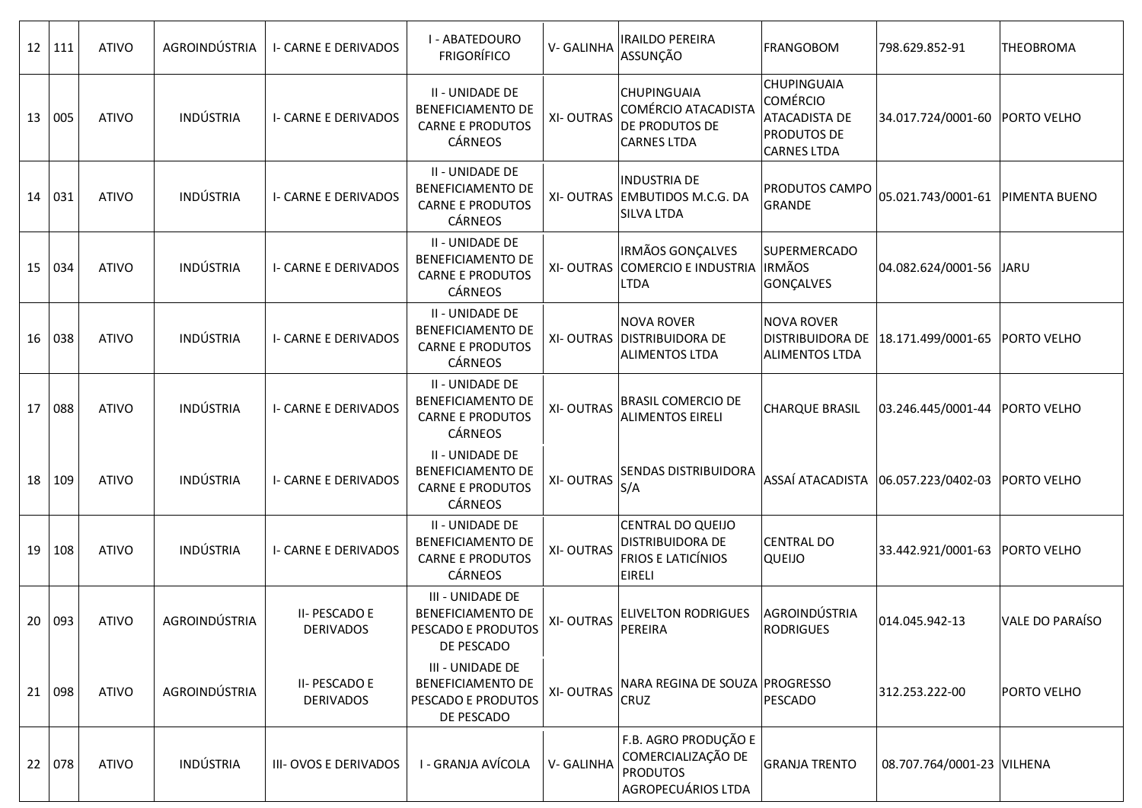| 12   111 |     | <b>ATIVO</b> | AGROINDÚSTRIA    | <b>I- CARNE E DERIVADOS</b>       | I - ABATEDOURO<br><b>FRIGORÍFICO</b>                                              | V-GALINHA        | <b>IRAILDO PEREIRA</b><br>ASSUNÇÃO                                                  | <b>FRANGOBOM</b>                                                                                   | 798.629.852-91                   | <b>THEOBROMA</b>   |
|----------|-----|--------------|------------------|-----------------------------------|-----------------------------------------------------------------------------------|------------------|-------------------------------------------------------------------------------------|----------------------------------------------------------------------------------------------------|----------------------------------|--------------------|
| 13       | 005 | <b>ATIVO</b> | INDÚSTRIA        | I- CARNE E DERIVADOS              | II - UNIDADE DE<br>BENEFICIAMENTO DE<br><b>CARNE E PRODUTOS</b><br>CÁRNEOS        | <b>XI-OUTRAS</b> | <b>CHUPINGUAIA</b><br>COMÉRCIO ATACADISTA<br>DE PRODUTOS DE<br><b>CARNES LTDA</b>   | <b>CHUPINGUAIA</b><br>Comércio<br><b>ATACADISTA DE</b><br><b>PRODUTOS DE</b><br><b>CARNES LTDA</b> | 34.017.724/0001-60 PORTO VELHO   |                    |
| 14 031   |     | <b>ATIVO</b> | INDÚSTRIA        | <b>I- CARNE E DERIVADOS</b>       | II - UNIDADE DE<br><b>BENEFICIAMENTO DE</b><br><b>CARNE E PRODUTOS</b><br>CÁRNEOS |                  | <b>INDUSTRIA DE</b><br>XI-OUTRAS EMBUTIDOS M.C.G. DA<br><b>SILVA LTDA</b>           | PRODUTOS CAMPO<br><b>GRANDE</b>                                                                    | 05.021.743/0001-61 PIMENTA BUENO |                    |
| 15 034   |     | <b>ATIVO</b> | <b>INDÚSTRIA</b> | I- CARNE E DERIVADOS              | II - UNIDADE DE<br><b>BENEFICIAMENTO DE</b><br><b>CARNE E PRODUTOS</b><br>CÁRNEOS | <b>XI-OUTRAS</b> | <b>IRMÃOS GONÇALVES</b><br>COMERCIO E INDUSTRIA IRMÃOS<br>LTDA                      | <b>SUPERMERCADO</b><br>GONÇALVES                                                                   | 04.082.624/0001-56 JARU          |                    |
| 16       | 038 | <b>ATIVO</b> | INDÚSTRIA        | <b>I- CARNE E DERIVADOS</b>       | II - UNIDADE DE<br><b>BENEFICIAMENTO DE</b><br><b>CARNE E PRODUTOS</b><br>CÁRNEOS | <b>XI-OUTRAS</b> | <b>NOVA ROVER</b><br><b>DISTRIBUIDORA DE</b><br><b>ALIMENTOS LTDA</b>               | <b>NOVA ROVER</b><br><b>DISTRIBUIDORA DE</b><br><b>ALIMENTOS LTDA</b>                              | 18.171.499/0001-65 PORTO VELHO   |                    |
| 17       | 088 | <b>ATIVO</b> | INDÚSTRIA        | <b>I- CARNE E DERIVADOS</b>       | II - UNIDADE DE<br>BENEFICIAMENTO DE<br><b>CARNE E PRODUTOS</b><br>CÁRNEOS        | <b>XI-OUTRAS</b> | <b>BRASIL COMERCIO DE</b><br><b>ALIMENTOS EIRELI</b>                                | <b>CHARQUE BRASIL</b>                                                                              | 03.246.445/0001-44 PORTO VELHO   |                    |
| 18   109 |     | <b>ATIVO</b> | <b>INDÚSTRIA</b> | <b>I- CARNE E DERIVADOS</b>       | II - UNIDADE DE<br><b>BENEFICIAMENTO DE</b><br><b>CARNE E PRODUTOS</b><br>CÁRNEOS | <b>XI-OUTRAS</b> | SENDAS DISTRIBUIDORA<br>S/A                                                         | ASSAÍ ATACADISTA                                                                                   | 06.057.223/0402-03 PORTO VELHO   |                    |
| 19       | 108 | <b>ATIVO</b> | INDÚSTRIA        | <b>I- CARNE E DERIVADOS</b>       | II - UNIDADE DE<br>BENEFICIAMENTO DE<br><b>CARNE E PRODUTOS</b><br>CÁRNEOS        | <b>XI-OUTRAS</b> | CENTRAL DO QUEIJO<br>DISTRIBUIDORA DE<br><b>FRIOS E LATICÍNIOS</b><br><b>EIRELI</b> | <b>CENTRAL DO</b><br><b>QUEIJO</b>                                                                 | 33.442.921/0001-63 PORTO VELHO   |                    |
| 20   093 |     | <b>ATIVO</b> | AGROINDÚSTRIA    | II- PESCADO E<br><b>DERIVADOS</b> | III - UNIDADE DE<br>BENEFICIAMENTO DE<br>PESCADO E PRODUTOS<br>DE PESCADO         | XI-OUTRAS        | <b>ELIVELTON RODRIGUES</b><br>PEREIRA                                               | AGROINDÚSTRIA<br><b>RODRIGUES</b>                                                                  | 014.045.942-13                   | VALE DO PARAÍSO    |
| 21   098 |     | <b>ATIVO</b> | AGROINDÚSTRIA    | II- PESCADO E<br><b>DERIVADOS</b> | III - UNIDADE DE<br>BENEFICIAMENTO DE<br>PESCADO E PRODUTOS<br>DE PESCADO         | <b>XI-OUTRAS</b> | NARA REGINA DE SOUZA PROGRESSO<br>CRUZ                                              | PESCADO                                                                                            | 312.253.222-00                   | <b>PORTO VELHO</b> |
| 22 078   |     | <b>ATIVO</b> | INDÚSTRIA        | III-OVOS E DERIVADOS              | I - GRANJA AVÍCOLA                                                                | V-GALINHA        | F.B. AGRO PRODUÇÃO E<br>COMERCIALIZAÇÃO DE<br><b>PRODUTOS</b><br>AGROPECUÁRIOS LTDA | <b>GRANJA TRENTO</b>                                                                               | 08.707.764/0001-23 VILHENA       |                    |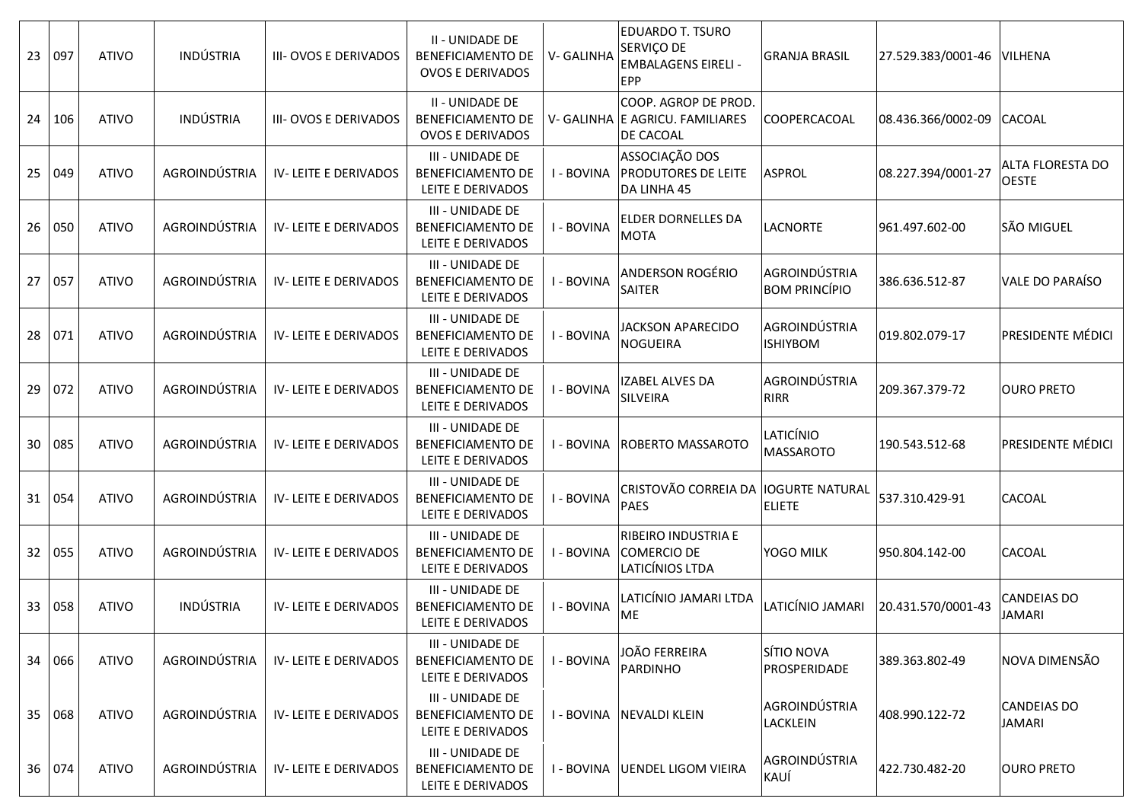| 23              | 097      | <b>ATIVO</b> | <b>INDÚSTRIA</b> | III-OVOS E DERIVADOS         | II - UNIDADE DE<br><b>BENEFICIAMENTO DE</b><br><b>OVOS E DERIVADOS</b> | V-GALINHA  | <b>EDUARDO T. TSURO</b><br>SERVIÇO DE<br><b>EMBALAGENS EIRELI -</b><br><b>EPP</b> | <b>GRANJA BRASIL</b>                    | 27.529.383/0001-46 | <b>VILHENA</b>                      |
|-----------------|----------|--------------|------------------|------------------------------|------------------------------------------------------------------------|------------|-----------------------------------------------------------------------------------|-----------------------------------------|--------------------|-------------------------------------|
| 24              | 106      | <b>ATIVO</b> | INDÚSTRIA        | <b>III- OVOS E DERIVADOS</b> | II - UNIDADE DE<br>BENEFICIAMENTO DE<br><b>OVOS E DERIVADOS</b>        |            | COOP. AGROP DE PROD.<br>V- GALINHA E AGRICU. FAMILIARES<br><b>DE CACOAL</b>       | COOPERCACOAL                            | 08.436.366/0002-09 | <b>CACOAL</b>                       |
| 25              | 049      | <b>ATIVO</b> | AGROINDÚSTRIA    | IV-LEITE E DERIVADOS         | III - UNIDADE DE<br><b>BENEFICIAMENTO DE</b><br>LEITE E DERIVADOS      | - BOVINA   | ASSOCIAÇÃO DOS<br>PRODUTORES DE LEITE<br>DA LINHA 45                              | <b>ASPROL</b>                           | 08.227.394/0001-27 | ALTA FLORESTA DO<br><b>OESTE</b>    |
| 26              | 050      | <b>ATIVO</b> | AGROINDÚSTRIA    | IV-LEITE E DERIVADOS         | III - UNIDADE DE<br>BENEFICIAMENTO DE<br>LEITE E DERIVADOS             | - BOVINA   | <b>ELDER DORNELLES DA</b><br><b>MOTA</b>                                          | <b>LACNORTE</b>                         | 961.497.602-00     | SÃO MIGUEL                          |
| 27              | 057      | <b>ATIVO</b> | AGROINDÚSTRIA    | IV-LEITE E DERIVADOS         | <b>III - UNIDADE DE</b><br>BENEFICIAMENTO DE<br>LEITE E DERIVADOS      | I - BOVINA | ANDERSON ROGÉRIO<br><b>SAITER</b>                                                 | AGROINDÚSTRIA<br><b>BOM PRINCÍPIO</b>   | 386.636.512-87     | VALE DO PARAÍSO                     |
| 28              | 071      | <b>ATIVO</b> | AGROINDÚSTRIA    | IV-LEITE E DERIVADOS         | III - UNIDADE DE<br>BENEFICIAMENTO DE<br>LEITE E DERIVADOS             | I - BOVINA | <b>JACKSON APARECIDO</b><br>NOGUEIRA                                              | AGROINDÚSTRIA<br><b>ISHIYBOM</b>        | 019.802.079-17     | PRESIDENTE MÉDICI                   |
| 29              | 072      | <b>ATIVO</b> | AGROINDÚSTRIA    | <b>IV-LEITE E DERIVADOS</b>  | III - UNIDADE DE<br><b>BENEFICIAMENTO DE</b><br>LEITE E DERIVADOS      | I - BOVINA | <b>IZABEL ALVES DA</b><br>SILVEIRA                                                | AGROINDÚSTRIA<br><b>RIRR</b>            | 209.367.379-72     | <b>OURO PRETO</b>                   |
| 30              | 085      | <b>ATIVO</b> | AGROINDÚSTRIA    | IV-LEITE E DERIVADOS         | III - UNIDADE DE<br>BENEFICIAMENTO DE<br>LEITE E DERIVADOS             | I - BOVINA | ROBERTO MASSAROTO                                                                 | LATICÍNIO<br>MASSAROTO                  | 190.543.512-68     | PRESIDENTE MÉDICI                   |
| 31              | 054      | <b>ATIVO</b> | AGROINDÚSTRIA    | IV-LEITE E DERIVADOS         | III - UNIDADE DE<br>BENEFICIAMENTO DE<br>LEITE E DERIVADOS             | - BOVINA   | CRISTOVÃO CORREIA DA<br><b>PAES</b>                                               | <b>IOGURTE NATURAL</b><br><b>ELIETE</b> | 537.310.429-91     | <b>CACOAL</b>                       |
| 32 <sub>2</sub> | 055      | <b>ATIVO</b> | AGROINDÚSTRIA    | <b>IV-LEITE E DERIVADOS</b>  | III - UNIDADE DE<br><b>BENEFICIAMENTO DE</b><br>LEITE E DERIVADOS      | I - BOVINA | RIBEIRO INDUSTRIA E<br><b>COMERCIO DE</b><br>LATICÍNIOS LTDA                      | YOGO MILK                               | 950.804.142-00     | <b>CACOAL</b>                       |
|                 | 33 058   | <b>ATIVO</b> | INDÚSTRIA        | IV-LEITE E DERIVADOS         | III - UNIDADE DE<br>BENEFICIAMENTO DE<br>LEITE E DERIVADOS             | I - BOVINA | LATICÍNIO JAMARI LTDA<br>ME                                                       | LATICÍNIO JAMARI                        | 20.431.570/0001-43 | CANDEIAS DO<br><b>JAMARI</b>        |
|                 | 34   066 | <b>ATIVO</b> | AGROINDÚSTRIA    | IV-LEITE E DERIVADOS         | III - UNIDADE DE<br>BENEFICIAMENTO DE<br>LEITE E DERIVADOS             | - BOVINA   | JOÃO FERREIRA<br><b>PARDINHO</b>                                                  | SÍTIO NOVA<br>PROSPERIDADE              | 389.363.802-49     | NOVA DIMENSÃO                       |
| 35              | 068      | <b>ATIVO</b> | AGROINDÚSTRIA    | IV-LEITE E DERIVADOS         | III - UNIDADE DE<br>BENEFICIAMENTO DE<br>LEITE E DERIVADOS             | - BOVINA   | <b>NEVALDI KLEIN</b>                                                              | AGROINDÚSTRIA<br>LACKLEIN               | 408.990.122-72     | <b>CANDEIAS DO</b><br><b>JAMARI</b> |
|                 | 36 074   | <b>ATIVO</b> | AGROINDÚSTRIA    | IV-LEITE E DERIVADOS         | III - UNIDADE DE<br>BENEFICIAMENTO DE<br>LEITE E DERIVADOS             | I - BOVINA | <b>UENDEL LIGOM VIEIRA</b>                                                        | AGROINDÚSTRIA<br>KAUÍ                   | 422.730.482-20     | <b>OURO PRETO</b>                   |